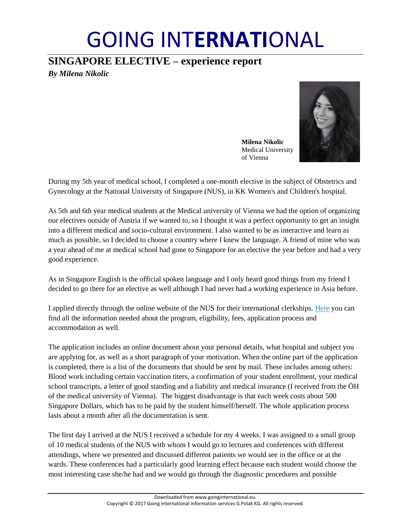# GOING INT**ERNATI**ONAL

## **SINGAPORE ELECTIVE – experience report**

*By Milena Nikolic*



**Milena Nikolic** Medical University of Vienna

During my 5th year of medical school, I completed a one-month elective in the subject of Obstetrics and Gynecology at the National University of Singapore (NUS), in KK Women's and Children's hospital.

As 5th and 6th year medical students at the Medical university of Vienna we had the option of organizing our electives outside of Austria if we wanted to, so I thought it was a perfect opportunity to get an insight into a different medical and socio-cultural environment. I also wanted to be as interactive and learn as much as possible, so I decided to choose a country where I knew the language. A friend of mine who was a year ahead of me at medical school had gone to Singapore for an elective the year before and had a very good experience.

As in Singapore English is the official spoken language and I only heard good things from my friend I decided to go there for an elective as well although I had never had a working experience in Asia before.

I applied directly through the online website of the NUS for their international clerkships. [Here](https://itumed.nus.edu.sg/scep/default.aspx) you can find all the information needed about the program, eligibility, fees, application process and accommodation as well.

The application includes an online document about your personal details, what hospital and subject you are applying for, as well as a short paragraph of your motivation. When the online part of the application is completed, there is a list of the documents that should be sent by mail. These includes among others: Blood work including certain vaccination titers, a confirmation of your student enrollment, your medical school transcripts, a letter of good standing and a liability and medical insurance (I received from the ÖH of the medical university of Vienna). The biggest disadvantage is that each week costs about 500 Singapore Dollars, which has to be paid by the student himself/herself. The whole application process lasts about a month after all the documentation is sent.

The first day I arrived at the NUS I received a schedule for my 4 weeks. I was assigned to a small group of 10 medical students of the NUS with whom I would go to lectures and conferences with different attendings, where we presented and discussed different patients we would see in the office or at the wards. These conferences had a particularly good learning effect because each student would choose the most interesting case she/he had and we would go through the diagnostic procedures and possible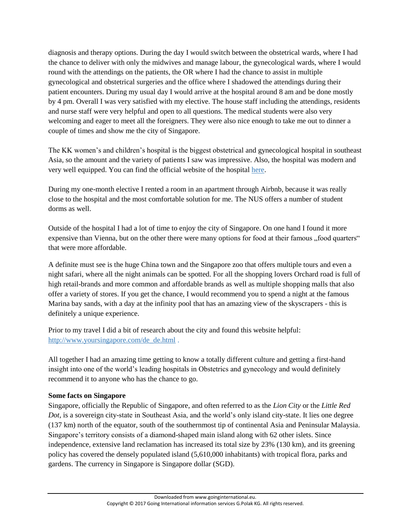diagnosis and therapy options. During the day I would switch between the obstetrical wards, where I had the chance to deliver with only the midwives and manage labour, the gynecological wards, where I would round with the attendings on the patients, the OR where I had the chance to assist in multiple gynecological and obstetrical surgeries and the office where I shadowed the attendings during their patient encounters. During my usual day I would arrive at the hospital around 8 am and be done mostly by 4 pm. Overall I was very satisfied with my elective. The house staff including the attendings, residents and nurse staff were very helpful and open to all questions. The medical students were also very welcoming and eager to meet all the foreigners. They were also nice enough to take me out to dinner a couple of times and show me the city of Singapore.

The KK women's and children's hospital is the biggest obstetrical and gynecological hospital in southeast Asia, so the amount and the variety of patients I saw was impressive. Also, the hospital was modern and very well equipped. You can find the official website of the hospital [here.](https://www.kkh.com.sg/Pages/Home.aspx)

During my one-month elective I rented a room in an apartment through Airbnb, because it was really close to the hospital and the most comfortable solution for me. The NUS offers a number of student dorms as well.

Outside of the hospital I had a lot of time to enjoy the city of Singapore. On one hand I found it more expensive than Vienna, but on the other there were many options for food at their famous "food quarters" that were more affordable.

A definite must see is the huge China town and the Singapore zoo that offers multiple tours and even a night safari, where all the night animals can be spotted. For all the shopping lovers Orchard road is full of high retail-brands and more common and affordable brands as well as multiple shopping malls that also offer a variety of stores. If you get the chance, I would recommend you to spend a night at the famous Marina bay sands, with a day at the infinity pool that has an amazing view of the skyscrapers - this is definitely a unique experience.

Prior to my travel I did a bit of research about the city and found this website helpful: [http://www.yoursingapore.com/de\\_de.html](http://www.yoursingapore.com/de_de.html) .

All together I had an amazing time getting to know a totally different culture and getting a first-hand insight into one of the world's leading hospitals in Obstetrics and gynecology and would definitely recommend it to anyone who has the chance to go.

## **Some facts on Singapore**

Singapore, officially the Republic of Singapore, and often referred to as the *Lion City* or the *Little Red Dot*, is a sovereign city-state in Southeast Asia, and the world's only island city-state. It lies one degree (137 km) north of the equator, south of the southernmost tip of continental Asia and Peninsular Malaysia. Singapore's territory consists of a diamond-shaped main island along with 62 other islets. Since independence, extensive land reclamation has increased its total size by 23% (130 km), and its greening policy has covered the densely populated island (5,610,000 inhabitants) with tropical flora, parks and gardens. The currency in Singapore is Singapore dollar (SGD).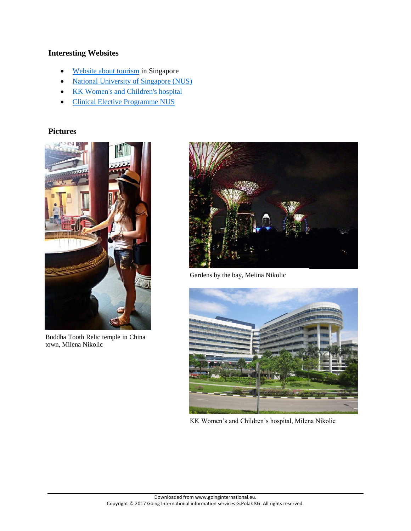## **Interesting Websites**

- [Website about tourism](http://www.visitsingapore.com/de_de.html) in Singapore
- [National University of Singapore \(NUS\)](http://www.nus.edu.sg/)
- [KK Women's and Children's hospital](https://www.kkh.com.sg/Pages/Home.aspx)
- [Clinical Elective Programme NUS](https://itumed.nus.edu.sg/scep/default.aspx)

### **Pictures**



Buddha Tooth Relic temple in China town, Milena Nikolic



Gardens by the bay, Melina Nikolic



KK Women's and Children's hospital, Milena Nikolic